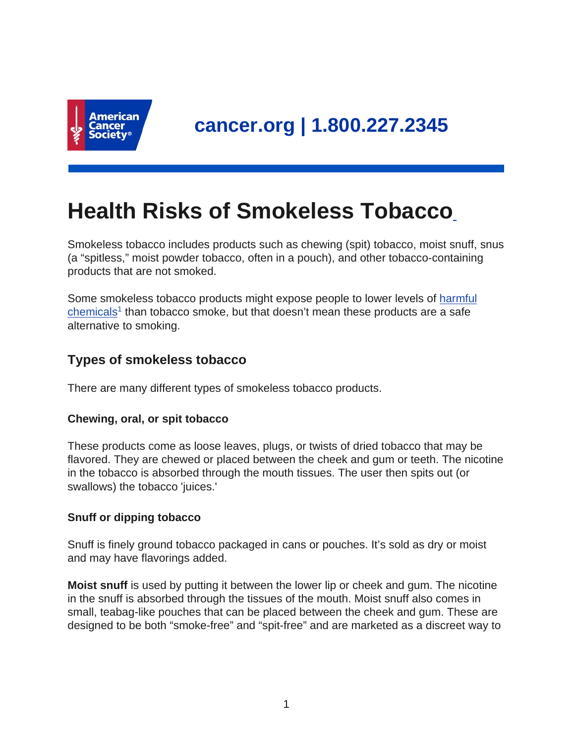

# **Health Risks of Smokeless Tobacco**

Smokeless tobacco includes products such as chewing (spit) tobacco, moist snuff, snus (a "spitless," moist powder tobacco, often in a pouch), and other tobacco-containing products that are not smoked.

Some smokeless tobacco products might expose people to lower levels of [harmful](https://www.cancer.org/cancer/cancer-causes/tobacco-and-cancer/carcinogens-found-in-tobacco-products.html) [chemicals](https://www.cancer.org/cancer/cancer-causes/tobacco-and-cancer/carcinogens-found-in-tobacco-products.html)<sup>1</sup> than tobacco smoke, but that doesn't mean these products are a safe alternative to smoking.

# **Types of smokeless tobacco**

There are many different types of smokeless tobacco products.

## **Chewing, oral, or spit tobacco**

These products come as loose leaves, plugs, or twists of dried tobacco that may be flavored. They are chewed or placed between the cheek and gum or teeth. The nicotine in the tobacco is absorbed through the mouth tissues. The user then spits out (or swallows) the tobacco 'juices.'

## **Snuff or dipping tobacco**

Snuff is finely ground tobacco packaged in cans or pouches. It's sold as dry or moist and may have flavorings added.

**Moist snuff** is used by putting it between the lower lip or cheek and gum. The nicotine in the snuff is absorbed through the tissues of the mouth. Moist snuff also comes in small, teabag-like pouches that can be placed between the cheek and gum. These are designed to be both "smoke-free" and "spit-free" and are marketed as a discreet way to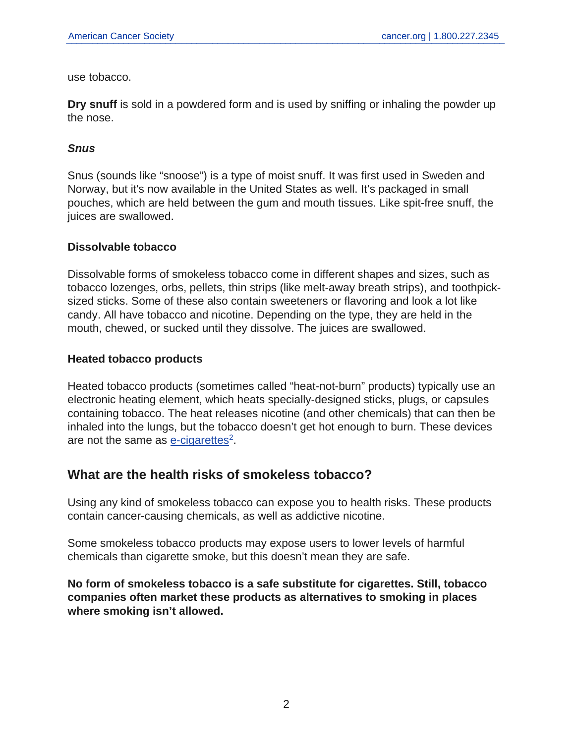use tobacco.

**Dry snuff** is sold in a powdered form and is used by sniffing or inhaling the powder up the nose.

## **Snus**

Snus (sounds like "snoose") is a type of moist snuff. It was first used in Sweden and Norway, but it's now available in the United States as well. It's packaged in small pouches, which are held between the gum and mouth tissues. Like spit-free snuff, the juices are swallowed.

#### **Dissolvable tobacco**

Dissolvable forms of smokeless tobacco come in different shapes and sizes, such as tobacco lozenges, orbs, pellets, thin strips (like melt-away breath strips), and toothpicksized sticks. Some of these also contain sweeteners or flavoring and look a lot like candy. All have tobacco and nicotine. Depending on the type, they are held in the mouth, chewed, or sucked until they dissolve. The juices are swallowed.

#### **Heated tobacco products**

Heated tobacco products (sometimes called "heat-not-burn" products) typically use an electronic heating element, which heats specially-designed sticks, plugs, or capsules containing tobacco. The heat releases nicotine (and other chemicals) that can then be inhaled into the lungs, but the tobacco doesn't get hot enough to burn. These devices are not the same as **[e-cigarettes](https://www.cancer.org/healthy/stay-away-from-tobacco/e-cigarettes-vaping/what-do-we-know-about-e-cigarettes.html)**<sup>2</sup>.

# **What are the health risks of smokeless tobacco?**

Using any kind of smokeless tobacco can expose you to health risks. These products contain cancer-causing chemicals, as well as addictive nicotine.

Some smokeless tobacco products may expose users to lower levels of harmful chemicals than cigarette smoke, but this doesn't mean they are safe.

**No form of smokeless tobacco is a safe substitute for cigarettes. Still, tobacco companies often market these products as alternatives to smoking in places where smoking isn't allowed.**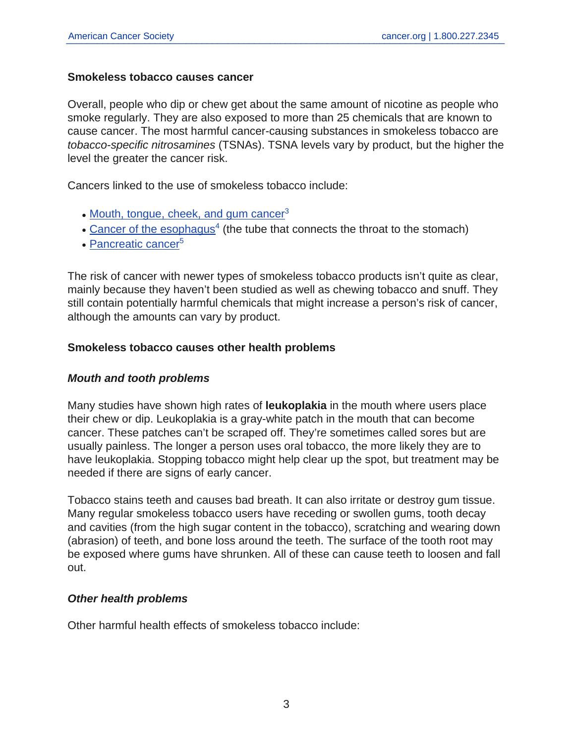#### **Smokeless tobacco causes cancer**

Overall, people who dip or chew get about the same amount of nicotine as people who smoke regularly. They are also exposed to more than 25 chemicals that are known to cause cancer. The most harmful cancer-causing substances in smokeless tobacco are tobacco-specific nitrosamines (TSNAs). TSNA levels vary by product, but the higher the level the greater the cancer risk.

Cancers linked to the use of smokeless tobacco include:

- [Mouth, tongue, cheek, and gum cancer](https://www.cancer.org/cancer/oral-cavity-and-oropharyngeal-cancer.html)<sup>3</sup>
- [Cancer of the esophagus](https://www.cancer.org/cancer/esophagus-cancer.html)<sup>4</sup> (the tube that connects the throat to the stomach)
- [Pancreatic cancer](https://www.cancer.org/cancer/pancreatic-cancer.html)<sup>5</sup>

The risk of cancer with newer types of smokeless tobacco products isn't quite as clear, mainly because they haven't been studied as well as chewing tobacco and snuff. They still contain potentially harmful chemicals that might increase a person's risk of cancer, although the amounts can vary by product.

## **Smokeless tobacco causes other health problems**

#### **Mouth and tooth problems**

Many studies have shown high rates of **leukoplakia** in the mouth where users place their chew or dip. Leukoplakia is a gray-white patch in the mouth that can become cancer. These patches can't be scraped off. They're sometimes called sores but are usually painless. The longer a person uses oral tobacco, the more likely they are to have leukoplakia. Stopping tobacco might help clear up the spot, but treatment may be needed if there are signs of early cancer.

Tobacco stains teeth and causes bad breath. It can also irritate or destroy gum tissue. Many regular smokeless tobacco users have receding or swollen gums, tooth decay and cavities (from the high sugar content in the tobacco), scratching and wearing down (abrasion) of teeth, and bone loss around the teeth. The surface of the tooth root may be exposed where gums have shrunken. All of these can cause teeth to loosen and fall out.

#### **Other health problems**

Other harmful health effects of smokeless tobacco include: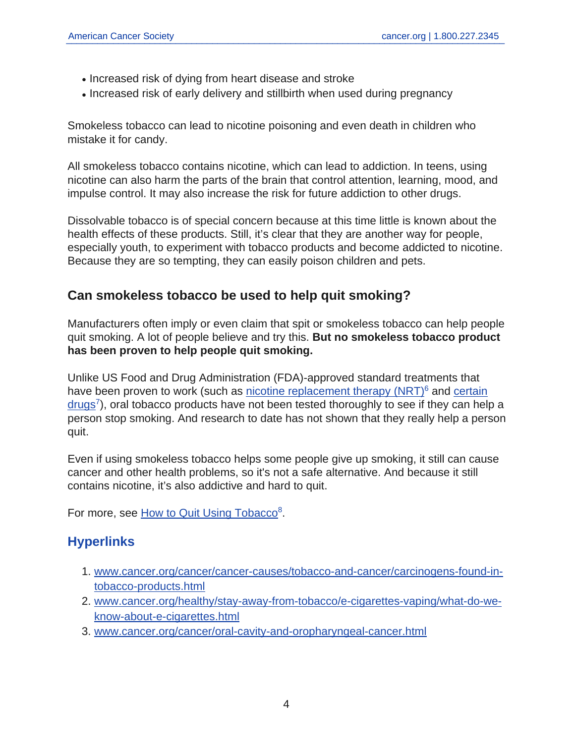- Increased risk of dying from heart disease and stroke
- Increased risk of early delivery and stillbirth when used during pregnancy

Smokeless tobacco can lead to nicotine poisoning and even death in children who mistake it for candy.

All smokeless tobacco contains nicotine, which can lead to addiction. In teens, using nicotine can also harm the parts of the brain that control attention, learning, mood, and impulse control. It may also increase the risk for future addiction to other drugs.

Dissolvable tobacco is of special concern because at this time little is known about the health effects of these products. Still, it's clear that they are another way for people, especially youth, to experiment with tobacco products and become addicted to nicotine. Because they are so tempting, they can easily poison children and pets.

# **Can smokeless tobacco be used to help quit smoking?**

Manufacturers often imply or even claim that spit or smokeless tobacco can help people quit smoking. A lot of people believe and try this. **But no smokeless tobacco product has been proven to help people quit smoking.**

Unlike US Food and Drug Administration (FDA)-approved standard treatments that have been proven to work (such as nicotine replacement therapy  $(NRT)^6$  and [certain](https://www.cancer.org/healthy/stay-away-from-tobacco/guide-quitting-smoking/prescription-drugs-to-help-you-quit-smoking.html) [drugs](https://www.cancer.org/healthy/stay-away-from-tobacco/guide-quitting-smoking/prescription-drugs-to-help-you-quit-smoking.html)<sup>7</sup>), oral tobacco products have not been tested thoroughly to see if they can help a person stop smoking. And research to date has not shown that they really help a person quit.

Even if using smokeless tobacco helps some people give up smoking, it still can cause cancer and other health problems, so it's not a safe alternative. And because it still contains nicotine, it's also addictive and hard to quit.

For more, see [How to Quit Using Tobacco](https://www.cancer.org/healthy/stay-away-from-tobacco/guide-quitting-smoking.html)<sup>8</sup>.

# **Hyperlinks**

- 1. [www.cancer.org/cancer/cancer-causes/tobacco-and-cancer/carcinogens-found-in](https://www.cancer.org/cancer/cancer-causes/tobacco-and-cancer/carcinogens-found-in-tobacco-products.html)[tobacco-products.html](https://www.cancer.org/cancer/cancer-causes/tobacco-and-cancer/carcinogens-found-in-tobacco-products.html)
- 2. [www.cancer.org/healthy/stay-away-from-tobacco/e-cigarettes-vaping/what-do-we](https://www.cancer.org/healthy/stay-away-from-tobacco/e-cigarettes-vaping/what-do-we-know-about-e-cigarettes.html)[know-about-e-cigarettes.html](https://www.cancer.org/healthy/stay-away-from-tobacco/e-cigarettes-vaping/what-do-we-know-about-e-cigarettes.html)
- 3. [www.cancer.org/cancer/oral-cavity-and-oropharyngeal-cancer.html](https://www.cancer.org/cancer/oral-cavity-and-oropharyngeal-cancer.html)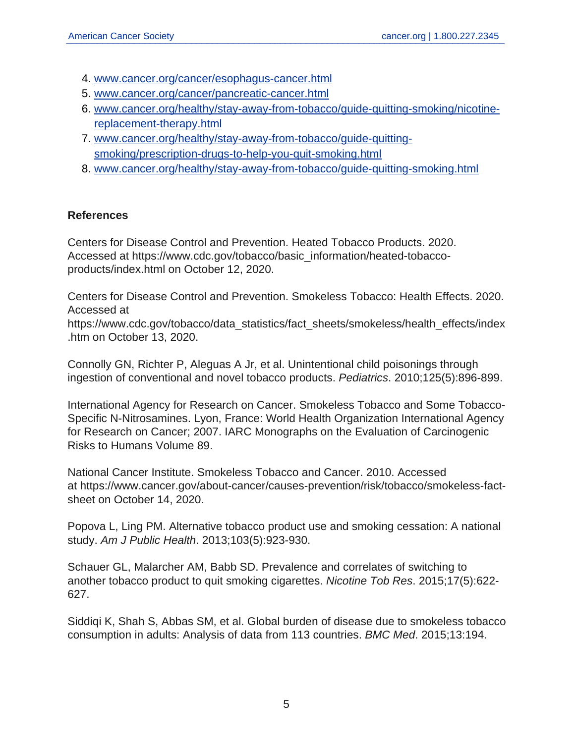- 4. [www.cancer.org/cancer/esophagus-cancer.html](https://www.cancer.org/cancer/esophagus-cancer.html)
- 5. [www.cancer.org/cancer/pancreatic-cancer.html](https://www.cancer.org/cancer/pancreatic-cancer.html)
- 6. [www.cancer.org/healthy/stay-away-from-tobacco/guide-quitting-smoking/nicotine](https://www.cancer.org/healthy/stay-away-from-tobacco/guide-quitting-smoking/nicotine-replacement-therapy.html)[replacement-therapy.html](https://www.cancer.org/healthy/stay-away-from-tobacco/guide-quitting-smoking/nicotine-replacement-therapy.html)
- 7. [www.cancer.org/healthy/stay-away-from-tobacco/guide-quitting](https://www.cancer.org/healthy/stay-away-from-tobacco/guide-quitting-smoking/prescription-drugs-to-help-you-quit-smoking.html)[smoking/prescription-drugs-to-help-you-quit-smoking.html](https://www.cancer.org/healthy/stay-away-from-tobacco/guide-quitting-smoking/prescription-drugs-to-help-you-quit-smoking.html)
- 8. [www.cancer.org/healthy/stay-away-from-tobacco/guide-quitting-smoking.html](https://www.cancer.org/healthy/stay-away-from-tobacco/guide-quitting-smoking.html)

## **References**

Centers for Disease Control and Prevention. Heated Tobacco Products. 2020. Accessed at https://www.cdc.gov/tobacco/basic\_information/heated-tobaccoproducts/index.html on October 12, 2020.

Centers for Disease Control and Prevention. Smokeless Tobacco: Health Effects. 2020. Accessed at

https://www.cdc.gov/tobacco/data\_statistics/fact\_sheets/smokeless/health\_effects/index .htm on October 13, 2020.

Connolly GN, Richter P, Aleguas A Jr, et al. Unintentional child poisonings through ingestion of conventional and novel tobacco products. Pediatrics. 2010;125(5):896-899.

International Agency for Research on Cancer. Smokeless Tobacco and Some Tobacco-Specific N-Nitrosamines. Lyon, France: World Health Organization International Agency for Research on Cancer; 2007. IARC Monographs on the Evaluation of Carcinogenic Risks to Humans Volume 89.

National Cancer Institute. Smokeless Tobacco and Cancer. 2010. Accessed at https://www.cancer.gov/about-cancer/causes-prevention/risk/tobacco/smokeless-factsheet on October 14, 2020.

Popova L, Ling PM. Alternative tobacco product use and smoking cessation: A national study. Am J Public Health. 2013;103(5):923-930.

Schauer GL, Malarcher AM, Babb SD. Prevalence and correlates of switching to another tobacco product to quit smoking cigarettes. Nicotine Tob Res. 2015;17(5):622- 627.

Siddiqi K, Shah S, Abbas SM, et al. Global burden of disease due to smokeless tobacco consumption in adults: Analysis of data from 113 countries. BMC Med. 2015;13:194.